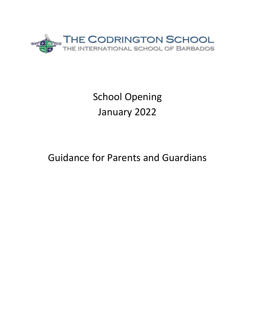

# School Opening January 2022

## Guidance for Parents and Guardians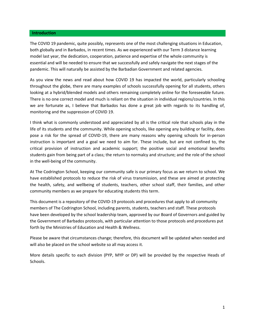#### **Introduction**

The COVID 19 pandemic, quite possibly, represents one of the most challenging situations in Education, both globally and in Barbados, in recent times. As we experienced with our Term 3 distance learning model last year, the dedication, cooperation, patience and expertise of the whole community is essential and will be needed to ensure that we successfully and safely navigate the next stages of the pandemic. This will naturally be assisted by the Barbadian Government and related agencies.

As you view the news and read about how COVID 19 has impacted the world, particularly schooling throughout the globe, there are many examples of schools successfully opening for all students, others looking at a hybrid/blended models and others remaining completely online for the foreseeable future. There is no one correct model and much is reliant on the situation in individual regions/countries. In this we are fortunate as, I believe that Barbados has done a great job with regards to its handling of, monitoring and the suppression of COVID 19.

I think what is commonly understood and appreciated by all is the critical role that schools play in the life of its students and the community. While opening schools, like opening any building or facility, does pose a risk for the spread of COVID-19, there are many reasons why opening schools for in-person instruction is important and a goal we need to aim for. These include, but are not confined to, the critical provision of instruction and academic support; the positive social and emotional benefits students gain from being part of a class; the return to normalcy and structure; and the role of the school in the well-being of the community.

At The Codrington School, keeping our community safe is our primary focus as we return to school. We have established protocols to reduce the risk of virus transmission, and these are aimed at protecting the health, safety, and wellbeing of students, teachers, other school staff, their families, and other community members as we prepare for educating students this term.

This document is a repository of the COVID-19 protocols and procedures that apply to all community members of The Codrington School, including parents, students, teachers and staff. These protocols have been developed by the school leadership team, approved by our Board of Governors and guided by the Government of Barbados protocols, with particular attention to those protocols and procedures put forth by the Ministries of Education and Health & Wellness.

Please be aware that circumstances change; therefore, this document will be updated when needed and will also be placed on the school website so all may access it.

More details specific to each division (PYP, MYP or DP) will be provided by the respective Heads of Schools.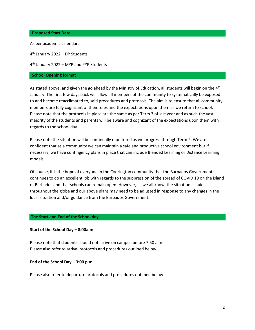#### **Proposed Start Date**

As per academic calendar:

4 th January 2022 – DP Students

4 th January 2022 – MYP and PYP Students

#### **School Opening format**

As stated above, and given the go ahead by the Ministry of Education, all students will begin on the 4<sup>th</sup> January. The first few days back will allow all members of the community to systematically be exposed to and become reacclimated to, said procedures and protocols. The aim is to ensure that all community members are fully cognizant of their roles and the expectations upon them as we return to school. Please note that the protocols in place are the same as per Term 3 of last year and as such the vast majority of the students and parents will be aware and cognizant of the expectations upon them with regards to the school day

Please note the situation will be continually monitored as we progress through Term 2. We are confident that as a community we can maintain a safe and productive school environment but if necessary, we have contingency plans in place that can include Blended Learning or Distance Learning models.

Of course, it is the hope of everyone in the Codrington community that the Barbados Government continues to do an excellent job with regards to the suppression of the spread of COVID 19 on the island of Barbados and that schools can remain open. However, as we all know, the situation is fluid throughout the globe and our above plans may need to be adjusted in response to any changes in the local situation and/or guidance from the Barbados Government.

#### **The Start and End of the School day**

## **Start of the School Day – 8:00a.m.**

Please note that students should not arrive on campus before 7:50 a.m. Please also refer to arrival protocols and procedures outlined below

**End of the School Day – 3:00 p.m.**

Please also refer to departure protocols and procedures outlined below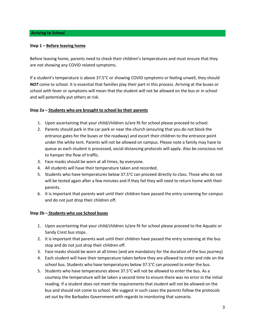## **Step 1 – Before leaving home**

Before leaving home, parents need to check their children's temperatures and must ensure that they are not showing any COVID related symptoms.

If a student's temperature is above 37.5°C or showing COVID symptoms or feeling unwell, they should *NOT* come to school. It is essential that families play their part in this process. Arriving at the buses or school with fever or symptoms will mean that the student will not be allowed on the bus or in school and will potentially put others at risk.

## **Step 2a – Students who are brought to school by their parents**

- 1. Upon ascertaining that your child/children is/are fit for school please proceed to school.
- 2. Parents should park in the car park or near the church (ensuring that you do not block the entrance gates for the buses or the roadway) and escort their children to the entrance point under the white tent. Parents will not be allowed on campus. Please note a family may have to queue as each student is processed, social distancing protocols will apply. Also be conscious not to hamper the flow of traffic.
- 3. Face masks should be worn at all times, by everyone.
- 4. All students will have their temperature taken and recorded.
- 5. Students who have temperatures below 37.5°C can proceed directly to class. Those who do not will be tested again after a few minutes and if they fail they will need to return home with their parents.
- 6. It is important that parents wait until their children have passed the entry screening for campus and do not just drop their children off.

## **Step 2b – Students who use School buses**

- 1. Upon ascertaining that your child/children is/are fit for school please proceed to the Aquatic or Sandy Crest bus stops.
- 2. It is important that parents wait until their children have passed the entry screening at the bus stop and do not just drop their children off.
- 3. Face masks should be worn at all times (and are mandatory for the duration of the bus journey)
- 4. Each student will have their temperature taken before they are allowed to enter and ride on the school bus. Students who have temperatures below 37.5°C can proceed to enter the bus.
- 5. Students who have temperatures above 37.5°C will not be allowed to enter the bus. As a courtesy the temperature will be taken a second time to ensure there was no error in the initial reading. If a student does not meet the requirements that student will not be allowed on the bus and should not come to school. We suggest in such cases the parents follow the protocols set out by the Barbados Government with regards to monitoring that scenario.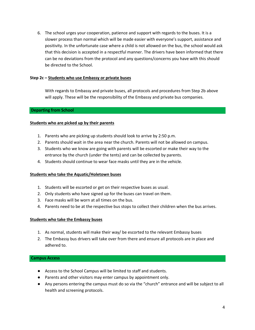6. The school urges your cooperation, patience and support with regards to the buses. It is a slower process than normal which will be made easier with everyone's support, assistance and positivity. In the unfortunate case where a child is not allowed on the bus, the school would ask that this decision is accepted in a respectful manner. The drivers have been informed that there can be no deviations from the protocol and any questions/concerns you have with this should be directed to the School.

## **Step 2c – Students who use Embassy or private buses**

With regards to Embassy and private buses, all protocols and procedures from Step 2b above will apply. These will be the responsibility of the Embassy and private bus companies.

## **Departing from School**

## **Students who are picked up by their parents**

- 1. Parents who are picking up students should look to arrive by 2:50 p.m.
- 2. Parents should wait in the area near the church. Parents will not be allowed on campus.
- 3. Students who we know are going with parents will be escorted or make their way to the entrance by the church (under the tents) and can be collected by parents.
- 4. Students should continue to wear face masks until they are in the vehicle.

## **Students who take the Aquatic/Holetown buses**

- 1. Students will be escorted or get on their respective buses as usual.
- 2. Only students who have signed up for the buses can travel on them.
- 3. Face masks will be worn at all times on the bus.
- 4. Parents need to be at the respective bus stops to collect their children when the bus arrives.

## **Students who take the Embassy buses**

- 1. As normal, students will make their way/ be escorted to the relevant Embassy buses
- 2. The Embassy bus drivers will take over from there and ensure all protocols are in place and adhered to.

## **Campus Access**

- Access to the School Campus will be limited to staff and students.
- Parents and other visitors may enter campus by appointment only.
- Any persons entering the campus must do so via the "church" entrance and will be subject to all health and screening protocols.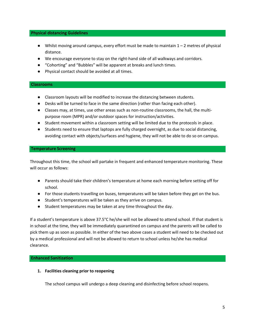## **Physical distancing Guidelines**

- $\bullet$  Whilst moving around campus, every effort must be made to maintain  $1 2$  metres of physical distance.
- We encourage everyone to stay on the right-hand side of all walkways and corridors.
- "Cohorting" and "Bubbles" will be apparent at breaks and lunch times.
- Physical contact should be avoided at all times.

## **Classrooms**

- Classroom layouts will be modified to increase the distancing between students.
- Desks will be turned to face in the same direction (rather than facing each other).
- Classes may, at times, use other areas such as non-routine classrooms, the hall, the multipurpose room (MPR) and/or outdoor spaces for instruction/activities.
- Student movement within a classroom setting will be limited due to the protocols in place.
- Students need to ensure that laptops are fully charged overnight, as due to social distancing, avoiding contact with objects/surfaces and hygiene, they will not be able to do so on campus.

## **Temperature Screening**

Throughout this time, the school will partake in frequent and enhanced temperature monitoring. These will occur as follows:

- Parents should take their children's temperature at home each morning before setting off for school.
- For those students travelling on buses, temperatures will be taken before they get on the bus.
- Student's temperatures will be taken as they arrive on campus.
- Student temperatures may be taken at any time throughout the day.

If a student's temperature is above 37.5°C he/she will not be allowed to attend school. If that student is in school at the time, they will be immediately quarantined on campus and the parents will be called to pick them up as soon as possible. In either of the two above cases a student will need to be checked out by a medical professional and will not be allowed to return to school unless he/she has medical clearance.

## **Enhanced Sanitization**

## **1. Facilities cleaning prior to reopening**

The school campus will undergo a deep cleaning and disinfecting before school reopens.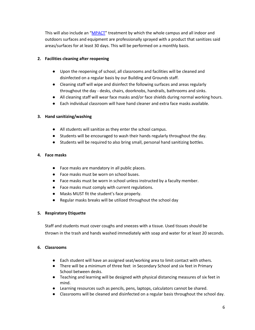This will also include an "[MPACT](https://codrington.edu.bb/2021/04/08/corona-virus-misconceptions/)" treatment by which the whole campus and all indoor and outdoors surfaces and equipment are professionally sprayed with a product that sanitizes said areas/surfaces for at least 30 days. This will be performed on a monthly basis.

## **2. Facilities cleaning after reopening**

- Upon the reopening of school, all classrooms and facilities will be cleaned and disinfected on a regular basis by our Building and Grounds staff.
- Cleaning staff will wipe and disinfect the following surfaces and areas regularly throughout the day - desks, chairs, doorknobs, handrails, bathrooms and sinks.
- All cleaning staff will wear face masks and/or face shields during normal working hours.
- Each individual classroom will have hand cleaner and extra face masks available.

## **3. Hand sanitizing/washing**

- All students will sanitize as they enter the school campus.
- Students will be encouraged to wash their hands regularly throughout the day.
- Students will be required to also bring small, personal hand sanitizing bottles.

## **4. Face masks**

- Face masks are mandatory in all public places.
- Face masks must be worn on school buses.
- Face masks must be worn in school unless instructed by a faculty member.
- Face masks must comply with current regulations.
- Masks MUST fit the student's face properly.
- Regular masks breaks will be utilized throughout the school day

## **5. Respiratory Etiquette**

Staff and students must cover coughs and sneezes with a tissue. Used tissues should be thrown in the trash and hands washed immediately with soap and water for at least 20 seconds.

## **6. Classrooms**

- Each student will have an assigned seat/working area to limit contact with others.
- There will be a minimum of three feet in Secondary School and six feet in Primary School between desks.
- Teaching and learning will be designed with physical distancing measures of six feet in mind.
- Learning resources such as pencils, pens, laptops, calculators cannot be shared.
- Classrooms will be cleaned and disinfected on a regular basis throughout the school day.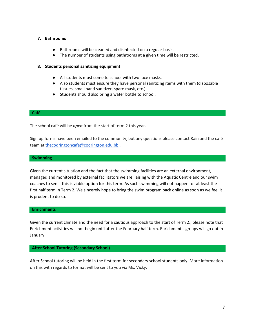## **7. Bathrooms**

- Bathrooms will be cleaned and disinfected on a regular basis.
- The number of students using bathrooms at a given time will be restricted.

## **8. Students personal sanitizing equipment**

- All students must come to school with two face masks.
- Also students must ensure they have personal sanitizing items with them (disposable tissues, small hand sanitizer, spare mask, etc.)
- Students should also bring a water bottle to school.

## **Café**

The school café will be *open* from the start of term 2 this year.

Sign up forms have been emailed to the community, but any questions please contact Rain and the café team at [thecodringtoncafe@codrington.edu.bb](mailto:thecodringtoncafe@codrington.edu.bb) .

#### **Swimming**

Given the current situation and the fact that the swimming facilities are an external environment, managed and monitored by external facilitators we are liaising with the Aquatic Centre and our swim coaches to see if this is viable option for this term. As such swimming will not happen for at least the first half term in Term 2. We sincerely hope to bring the swim program back online as soon as we feel it is prudent to do so.

## **Enrichments**

Given the current climate and the need for a cautious approach to the start of Term 2., please note that Enrichment activities will not begin until after the February half term. Enrichment sign-ups will go out in January.

## **After School Tutoring (Secondary School)**

After School tutoring will be held in the first term for secondary school students only. More information on this with regards to format will be sent to you via Ms. Vicky.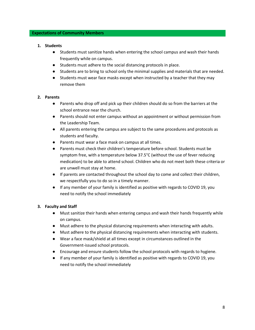## **Expectations of Community Members**

## **1. Students**

- Students must sanitize hands when entering the school campus and wash their hands frequently while on campus.
- Students must adhere to the social distancing protocols in place.
- Students are to bring to school only the minimal supplies and materials that are needed.
- Students must wear face masks except when instructed by a teacher that they may remove them

## **2. Parents**

- Parents who drop off and pick up their children should do so from the barriers at the school entrance near the church.
- Parents should not enter campus without an appointment or without permission from the Leadership Team.
- All parents entering the campus are subject to the same procedures and protocols as students and faculty.
- Parents must wear a face mask on campus at all times.
- Parents must check their children's temperature before school. Students must be symptom free, with a temperature below 37.5°C (without the use of fever reducing medication) to be able to attend school. Children who do not meet both these criteria or are unwell must stay at home.
- If parents are contacted throughout the school day to come and collect their children, we respectfully you to do so in a timely manner.
- If any member of your family is identified as positive with regards to COVID 19, you need to notify the school immediately

## **3. Faculty and Staff**

- Must sanitize their hands when entering campus and wash their hands frequently while on campus.
- Must adhere to the physical distancing requirements when interacting with adults.
- Must adhere to the physical distancing requirements when interacting with students.
- Wear a face mask/shield at all times except in circumstances outlined in the Government-issued school protocols.
- Encourage and ensure students follow the school protocols with regards to hygiene.
- If any member of your family is identified as positive with regards to COVID 19, you need to notify the school immediately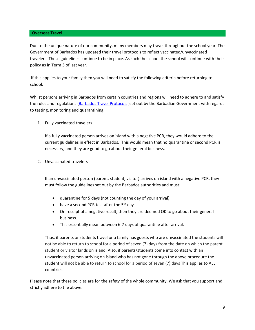#### **Overseas Travel**

Due to the unique nature of our community, many members may travel throughout the school year. The Government of Barbados has updated their travel protocols to reflect vaccinated/unvaccinated travelers. These guidelines continue to be in place. As such the school the school will continue with their policy as in Term 3 of last year.

If this applies to your family then you will need to satisfy the following criteria before returning to school:

Whilst persons arriving in Barbados from certain countries and regions will need to adhere to and satisfy the rules and regulations [\(Barbados Travel Protocols](https://www.visitbarbados.org/covid-19-travel-guidelines-2020) )set out by the Barbadian Government with regards to testing, monitoring and quarantining.

## 1. Fully vaccinated travelers

If a fully vaccinated person arrives on island with a negative PCR, they would adhere to the current guidelines in effect in Barbados. This would mean that no quarantine or second PCR is necessary, and they are good to go about their general business.

## 2. Unvaccinated travelers

If an unvaccinated person (parent, student, visitor) arrives on island with a negative PCR, they must follow the guidelines set out by the Barbados authorities and must:

- quarantine for 5 days (not counting the day of your arrival)
- have a second PCR test after the  $5<sup>th</sup>$  day
- On receipt of a negative result, then they are deemed OK to go about their general business.
- This essentially mean between 6-7 days of quarantine after arrival.

Thus, if parents or students travel or a family has guests who are unvaccinated the students will not be able to return to school for a period of seven (7) days from the date on which the parent, student or visitor lands on island. Also, if parents/students come into contact with an unvaccinated person arriving on island who has not gone through the above procedure the student will not be able to return to school for a period of seven (7) days This applies to ALL countries.

Please note that these policies are for the safety of the whole community. We ask that you support and strictly adhere to the above.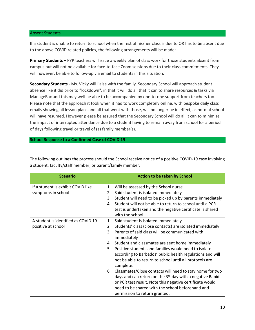## Absent Students

If a student is unable to return to school when the rest of his/her class is due to OR has to be absent due to the above COVID related policies, the following arrangements will be made:

**Primary Students –** PYP teachers will issue a weekly plan of class work for those students absent from campus but will not be available for face-to-face Zoom sessions due to their class commitments. They will however, be able to follow-up via email to students in this situation.

**Secondary Students** - Ms. Vicky will liaise with the family. Secondary School will approach student absence like it did prior to "lockdown", in that it will do all that it can to share resources & tasks via ManageBac and this may well be able to be accompanied by one-to-one support from teachers too. Please note that the approach it took when it had to work completely online, with bespoke daily class emails showing all lesson plans and all that went with those, will no longer be in effect, as normal school will have resumed. However please be assured that the Secondary School will do all it can to minimize the impact of interrupted attendance due to a student having to remain away from school for a period of days following travel or travel of (a) family member(s).

**School Response to a Confirmed Case of COVID 19**

The following outlines the process should the School receive notice of a positive COVID-19 case involving a student, faculty/staff member, or parent/family member.

| <b>Scenario</b>                     |    | Action to be taken by School                                         |
|-------------------------------------|----|----------------------------------------------------------------------|
|                                     |    |                                                                      |
| If a student is exhibit COVID like  | 1. | Will be assessed by the School nurse                                 |
| symptoms in school                  | 2. | Said student is isolated immediately                                 |
|                                     | 3. | Student will need to be picked up by parents immediately             |
|                                     | 4. | Student will not be able to return to school until a PCR             |
|                                     |    | test is undertaken and the negative certificate is shared            |
|                                     |    | with the school                                                      |
| A student is identified as COVID 19 | 1. | Said student is isolated immediately                                 |
| positive at school                  | 2. | Students' class (close contacts) are isolated immediately            |
|                                     | 3. | Parents of said class will be communicated with                      |
|                                     |    | immediately                                                          |
|                                     | 4. | Student and classmates are sent home immediately                     |
|                                     | 5. | Positive students and families would need to isolate                 |
|                                     |    | according to Barbados' public health regulations and will            |
|                                     |    | not be able to return to school until all protocols are              |
|                                     |    | complete.                                                            |
|                                     | 6. | Classmates/Close contacts will need to stay home for two             |
|                                     |    | days and can return on the 3 <sup>rd</sup> day with a negative Rapid |
|                                     |    | or PCR test result. Note this negative certificate would             |
|                                     |    | need to be shared with the school beforehand and                     |
|                                     |    | permission to return granted.                                        |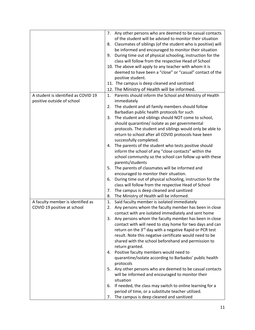|                                     | 7. | Any other persons who are deemed to be casual contacts              |
|-------------------------------------|----|---------------------------------------------------------------------|
|                                     |    | of the student will be advised to monitor their situation           |
|                                     | 8. | Classmates of siblings (of the student who is positive) will        |
|                                     |    | be informed and encouraged to monitor their situation               |
|                                     | 9. | During time out of physical schooling, instruction for the          |
|                                     |    | class will follow from the respective Head of School                |
|                                     |    | 10. The above will apply to any teacher with whom it is             |
|                                     |    | deemed to have been a "close" or "casual" contact of the            |
|                                     |    | positive student.                                                   |
|                                     |    | 11. The campus is deep cleaned and sanitized                        |
|                                     |    |                                                                     |
|                                     |    | 12. The Ministry of Health will be informed.                        |
| A student is identified as COVID 19 | 1. | Parents should inform the School and Ministry of Health             |
| positive outside of school          |    | immediately                                                         |
|                                     | 2. | The student and all family members should follow                    |
|                                     |    | Barbadian public health protocols for such                          |
|                                     | 3. | The student and siblings should NOT come to school,                 |
|                                     |    | should quarantine/ isolate as per governmental                      |
|                                     |    | protocols. The student and siblings would only be able to           |
|                                     |    | return to school after all COVID protocols have been                |
|                                     |    | successfully completed.                                             |
|                                     | 4. | The parents of the student who tests positive should                |
|                                     |    | inform the school of any "close contacts" within the                |
|                                     |    | school community so the school can follow up with these             |
|                                     |    | parents/students                                                    |
|                                     | 5. | The parents of classmates will be informed and                      |
|                                     |    | encouraged to monitor their situation.                              |
|                                     | 6. | During time out of physical schooling, instruction for the          |
|                                     |    | class will follow from the respective Head of School                |
|                                     | 7. | The campus is deep cleaned and sanitized                            |
|                                     | 8. | The Ministry of Health will be informed.                            |
| A faculty member is identified as   | 1. | Said faculty member is isolated immediately                         |
| COVID 19 positive at school         | 2. | Any persons whom the faculty member has been in close               |
|                                     |    | contact with are isolated immediately and sent home                 |
|                                     |    | 3. Any persons whom the faculty member has been in close            |
|                                     |    | contact with will need to stay home for two days and can            |
|                                     |    | return on the 3 <sup>rd</sup> day with a negative Rapid or PCR test |
|                                     |    | result. Note this negative certificate would need to be             |
|                                     |    | shared with the school beforehand and permission to                 |
|                                     |    | return granted.                                                     |
|                                     |    | 4. Positive faculty members would need to                           |
|                                     |    | quarantine/isolate according to Barbados' public health             |
|                                     |    | protocols                                                           |
|                                     | 5. | Any other persons who are deemed to be casual contacts              |
|                                     |    | will be informed and encouraged to monitor their                    |
|                                     |    | situation                                                           |
|                                     | 6. | If needed, the class may switch to online learning for a            |
|                                     |    | period of time, or a substitute teacher utilized.                   |
|                                     | 7. | The campus is deep cleaned and sanitized                            |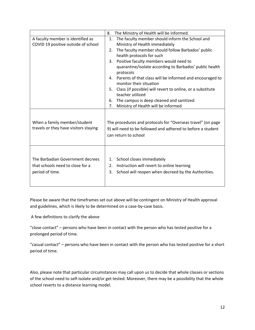|                                                                                         | The Ministry of Health will be informed.<br>8.                                                                                                                                                                                                                                                                                                                                                                                                                                                                                                                                        |
|-----------------------------------------------------------------------------------------|---------------------------------------------------------------------------------------------------------------------------------------------------------------------------------------------------------------------------------------------------------------------------------------------------------------------------------------------------------------------------------------------------------------------------------------------------------------------------------------------------------------------------------------------------------------------------------------|
| A faculty member is identified as<br>COVID 19 positive outside of school                | The faculty member should inform the School and<br>1.<br>Ministry of Health immediately<br>2. The faculty member should follow Barbados' public<br>health protocols for such<br>Positive faculty members would need to<br>3.<br>quarantine/isolate according to Barbados' public health<br>protocols<br>4. Parents of that class will be informed and encouraged to<br>monitor their situation<br>Class (if possible) will revert to online, or a substitute<br>5.<br>teacher utilized<br>The campus is deep cleaned and sanitized<br>6.<br>Ministry of Health will be informed<br>7. |
| When a family member/student<br>travels or they have visitors staying                   | The procedures and protocols for "Overseas travel" (on page<br>9) will need to be followed and adhered to before a student<br>can return to school                                                                                                                                                                                                                                                                                                                                                                                                                                    |
| The Barbadian Government decrees<br>that schools need to close for a<br>period of time. | 1. School closes immediately<br>Instruction will revert to online learning<br>2.<br>School will reopen when decreed by the Authorities.<br>3.                                                                                                                                                                                                                                                                                                                                                                                                                                         |

Please be aware that the timeframes set out above will be contingent on Ministry of Health approval and guidelines, which is likely to be determined on a case-by-case basis.

A few definitions to clarify the above

"close contact" – persons who have been in contact with the person who has tested positive for a prolonged period of time.

"casual contact" – persons who have been in contact with the person who has tested positive for a short period of time.

Also, please note that particular circumstances may call upon us to decide that whole classes or sections of the school need to self-isolate and/or get tested. Moreover, there may be a possibility that the whole school reverts to a distance learning model.